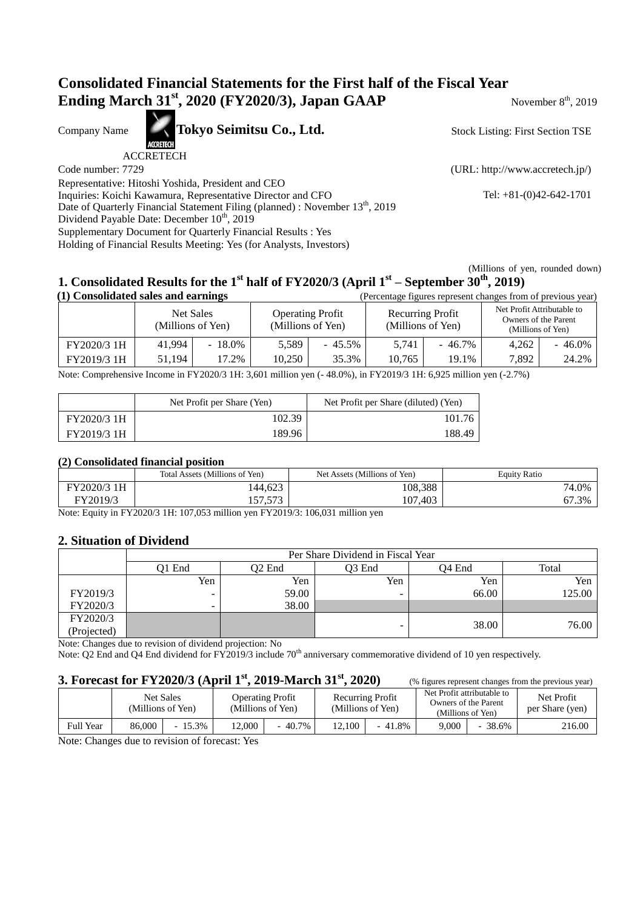## **Consolidated Financial Statements for the First half of the Fiscal Year Ending March 31<sup>st</sup>, 2020 (FY2020/3), Japan GAAP**

November  $8<sup>th</sup>$ , 2019

Company Name **Tokyo Seimitsu Co., Ltd.** 

ACCRETECH

Representative: Hitoshi Yoshida, President and CEO Inquiries: Koichi Kawamura, Representative Director and CFO Tel: +81-(0)42-642-1701 Date of Quarterly Financial Statement Filing (planned) : November 13<sup>th</sup>, 2019 Dividend Payable Date: December 10<sup>th</sup>, 2019 Supplementary Document for Quarterly Financial Results : Yes Holding of Financial Results Meeting: Yes (for Analysts, Investors)

Stock Listing: First Section TSE

Code number: 7729 (URL: http://www.accretech.jp/)

 (Millions of yen, rounded down) **1. Consolidated Results for the 1 st half of FY2020/3 (April 1st – September 30 th, 2019)**

| (1) Consolidated sales and earnings<br>(Percentage figures represent changes from of previous year) |                                |           |                                              |           |                                              |           |                                                                         |           |
|-----------------------------------------------------------------------------------------------------|--------------------------------|-----------|----------------------------------------------|-----------|----------------------------------------------|-----------|-------------------------------------------------------------------------|-----------|
|                                                                                                     | Net Sales<br>(Millions of Yen) |           | <b>Operating Profit</b><br>(Millions of Yen) |           | <b>Recurring Profit</b><br>(Millions of Yen) |           | Net Profit Attributable to<br>Owners of the Parent<br>(Millions of Yen) |           |
| FY2020/3 1H                                                                                         | 41.994                         | $-18.0\%$ | 5.589                                        | $-45.5\%$ | 5.741                                        | $-46.7\%$ | 4,262                                                                   | $-46.0\%$ |
| FY2019/3 1H                                                                                         | 51.194                         | 17.2%     | 10.250                                       | 35.3%     | 10.765                                       | 19.1%     | 7.892                                                                   | 24.2%     |

Note: Comprehensive Income in FY2020/3 1H: 3,601 million yen (- 48.0%), in FY2019/3 1H: 6,925 million yen (-2.7%)

|             | Net Profit per Share (Yen) | Net Profit per Share (diluted) (Yen) |
|-------------|----------------------------|--------------------------------------|
| FY2020/3 1H | 102.39                     | 101.76                               |
| FY2019/3 1H | 189.96                     | 188.49                               |

## **(2) Consolidated financial position**

|                   | Total Assets (Millions of Yen) | Net Assets (Millions of Yen) | <b>Equity Ratio</b> |
|-------------------|--------------------------------|------------------------------|---------------------|
| 1H<br>$Y2020/3$ . | 144,623                        | 108,388                      | 74.0%               |
| FY2019/3          | 572<br>$-$<br>ر ر. ر<br>، ب    | 107,403                      | 67.3%               |

Note: Equity in FY2020/3 1H: 107,053 million yen FY2019/3: 106,031 million yen

## **2. Situation of Dividend**

|             | Per Share Dividend in Fiscal Year |                    |                    |                    |        |  |  |  |
|-------------|-----------------------------------|--------------------|--------------------|--------------------|--------|--|--|--|
|             | O1 End                            | O <sub>2</sub> End | O <sub>3</sub> End | O <sub>4</sub> End | Total  |  |  |  |
|             | Yen                               | Yen                | Yen                | Yen                | Yen    |  |  |  |
| FY2019/3    |                                   | 59.00              |                    | 66.00              | 125.00 |  |  |  |
| FY2020/3    |                                   | 38.00              |                    |                    |        |  |  |  |
| FY2020/3    |                                   |                    |                    | 38.00              | 76.00  |  |  |  |
| (Projected) |                                   |                    |                    |                    |        |  |  |  |

Note: Changes due to revision of dividend projection: No

Note: Q2 End and Q4 End dividend for FY2019/3 include  $70<sup>th</sup>$  anniversary commemorative dividend of 10 yen respectively.

## **3. Forecast for FY2020/3 (April 1st, 2019-March 31st, 2020)** (% figures represent changes from the previous year)

|                  | Net Sales | (Millions of Yen) |        | <b>Operating Profit</b><br>(Millions of Yen) |        | Recurring Profit<br>(Millions of Yen) | Net Profit attributable to | Owners of the Parent<br>(Millions of Yen) | Net Profit<br>per Share (yen) |
|------------------|-----------|-------------------|--------|----------------------------------------------|--------|---------------------------------------|----------------------------|-------------------------------------------|-------------------------------|
| <b>Full Year</b> | 86.000    | 15.3%             | 12.000 | 40.7%                                        | 12.100 | 41.8%                                 | 9.000                      | 38.6%                                     | 216.00                        |

Note: Changes due to revision of forecast: Yes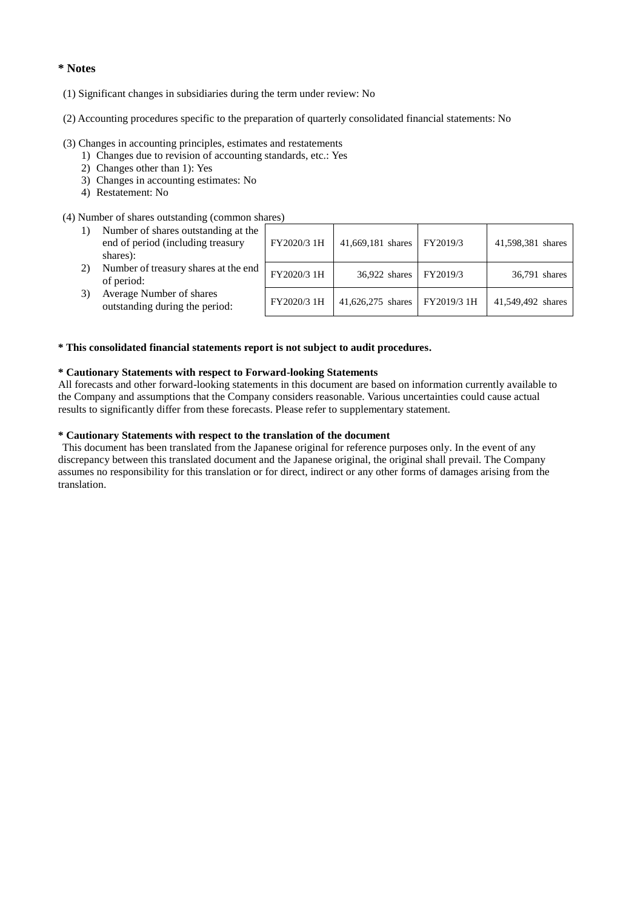### **\* Notes**

- (1) Significant changes in subsidiaries during the term under review: No
- (2) Accounting procedures specific to the preparation of quarterly consolidated financial statements: No

#### (3) Changes in accounting principles, estimates and restatements

- 1) Changes due to revision of accounting standards, etc.: Yes
- 2) Changes other than 1): Yes
- 3) Changes in accounting estimates: No
- 4) Restatement: No

#### (4) Number of shares outstanding (common shares)

|    | Number of shares outstanding at the<br>end of period (including treasury<br>shares): | FY2020/3 1H | 41,669,181 shares | FY2019/3    | 41,598,381 shares |
|----|--------------------------------------------------------------------------------------|-------------|-------------------|-------------|-------------------|
| 2) | Number of treasury shares at the end<br>of period:                                   | FY2020/3 1H | 36,922 shares     | FY2019/3    | 36,791 shares     |
|    | Average Number of shares<br>outstanding during the period:                           | FY2020/3 1H | 41,626,275 shares | FY2019/3 1H | 41,549,492 shares |

#### **\* This consolidated financial statements report is not subject to audit procedures.**

#### **\* Cautionary Statements with respect to Forward-looking Statements**

All forecasts and other forward-looking statements in this document are based on information currently available to the Company and assumptions that the Company considers reasonable. Various uncertainties could cause actual results to significantly differ from these forecasts. Please refer to supplementary statement.

## **\* Cautionary Statements with respect to the translation of the document**

This document has been translated from the Japanese original for reference purposes only. In the event of any discrepancy between this translated document and the Japanese original, the original shall prevail. The Company assumes no responsibility for this translation or for direct, indirect or any other forms of damages arising from the translation.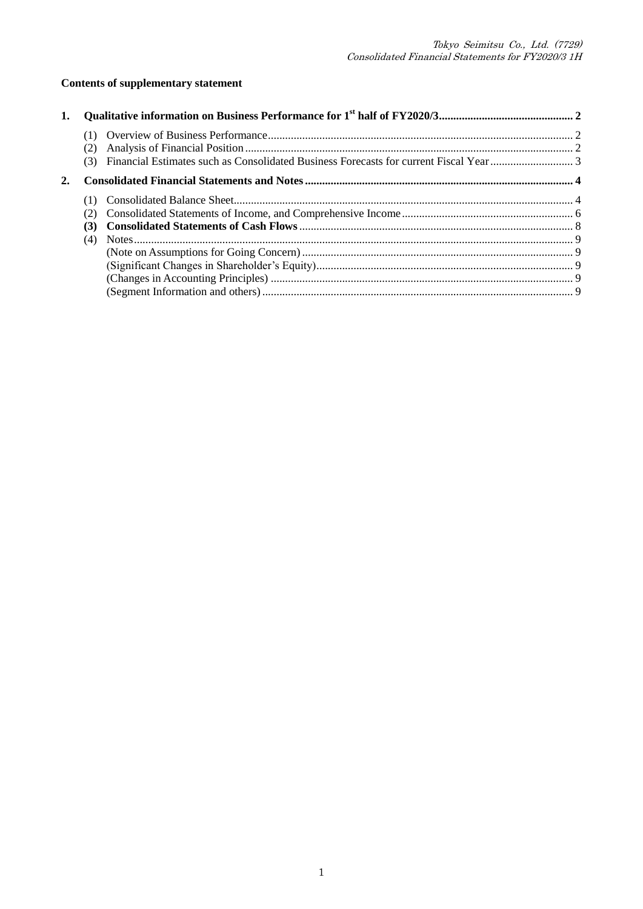## **Contents of supplementary statement**

|    | (2) |  |
|----|-----|--|
|    | (3) |  |
| 2. |     |  |
|    |     |  |
|    | (2) |  |
|    | (3) |  |
|    | (4) |  |
|    |     |  |
|    |     |  |
|    |     |  |
|    |     |  |
|    |     |  |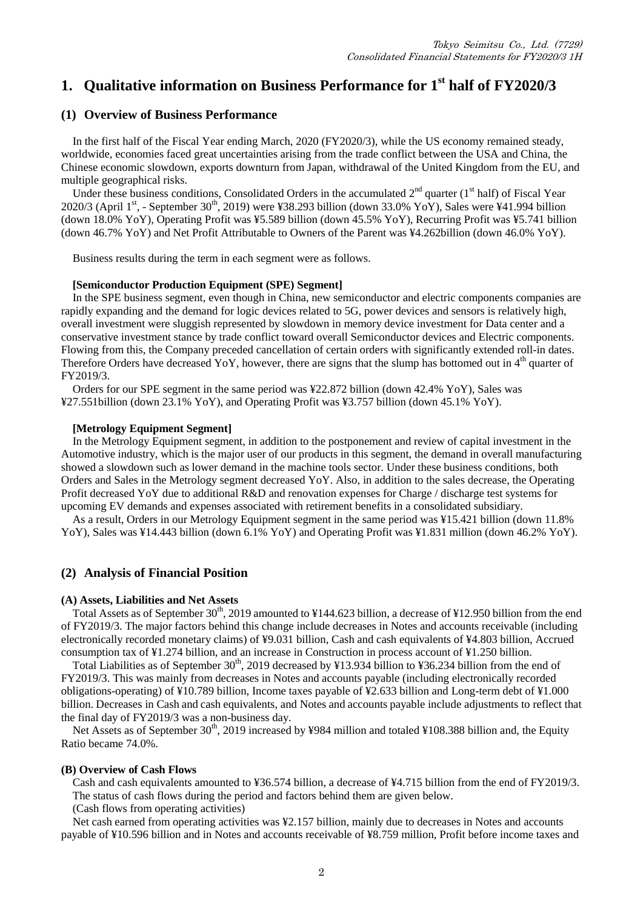# **1. Qualitative information on Business Performance for 1 st half of FY2020/3**

## **(1) Overview of Business Performance**

In the first half of the Fiscal Year ending March, 2020 (FY2020/3), while the US economy remained steady, worldwide, economies faced great uncertainties arising from the trade conflict between the USA and China, the Chinese economic slowdown, exports downturn from Japan, withdrawal of the United Kingdom from the EU, and multiple geographical risks.

Under these business conditions, Consolidated Orders in the accumulated  $2^{nd}$  quarter (1<sup>st</sup> half) of Fiscal Year 2020/3 (April 1<sup>st</sup>, - September 30<sup>th</sup>, 2019) were ¥38.293 billion (down 33.0% YoY), Sales were ¥41.994 billion (down 18.0% YoY), Operating Profit was ¥5.589 billion (down 45.5% YoY), Recurring Profit was ¥5.741 billion (down 46.7% YoY) and Net Profit Attributable to Owners of the Parent was ¥4.262billion (down 46.0% YoY).

Business results during the term in each segment were as follows.

#### **[Semiconductor Production Equipment (SPE) Segment]**

In the SPE business segment, even though in China, new semiconductor and electric components companies are rapidly expanding and the demand for logic devices related to 5G, power devices and sensors is relatively high, overall investment were sluggish represented by slowdown in memory device investment for Data center and a conservative investment stance by trade conflict toward overall Semiconductor devices and Electric components. Flowing from this, the Company preceded cancellation of certain orders with significantly extended roll-in dates. Therefore Orders have decreased YoY, however, there are signs that the slump has bottomed out in 4<sup>th</sup> quarter of FY2019/3.

Orders for our SPE segment in the same period was ¥22.872 billion (down 42.4% YoY), Sales was ¥27.551billion (down 23.1% YoY), and Operating Profit was ¥3.757 billion (down 45.1% YoY).

#### **[Metrology Equipment Segment]**

In the Metrology Equipment segment, in addition to the postponement and review of capital investment in the Automotive industry, which is the major user of our products in this segment, the demand in overall manufacturing showed a slowdown such as lower demand in the machine tools sector. Under these business conditions, both Orders and Sales in the Metrology segment decreased YoY. Also, in addition to the sales decrease, the Operating Profit decreased YoY due to additional R&D and renovation expenses for Charge / discharge test systems for upcoming EV demands and expenses associated with retirement benefits in a consolidated subsidiary.

As a result, Orders in our Metrology Equipment segment in the same period was ¥15.421 billion (down 11.8% YoY), Sales was ¥14.443 billion (down 6.1% YoY) and Operating Profit was ¥1.831 million (down 46.2% YoY).

## **(2) Analysis of Financial Position**

#### **(A) Assets, Liabilities and Net Assets**

Total Assets as of September 30<sup>th</sup>, 2019 amounted to ¥144.623 billion, a decrease of ¥12.950 billion from the end of FY2019/3. The major factors behind this change include decreases in Notes and accounts receivable (including electronically recorded monetary claims) of ¥9.031 billion, Cash and cash equivalents of ¥4.803 billion, Accrued consumption tax of ¥1.274 billion, and an increase in Construction in process account of ¥1.250 billion.

Total Liabilities as of September 30<sup>th</sup>, 2019 decreased by ¥13.934 billion to ¥36.234 billion from the end of FY2019/3. This was mainly from decreases in Notes and accounts payable (including electronically recorded obligations-operating) of ¥10.789 billion, Income taxes payable of ¥2.633 billion and Long-term debt of ¥1.000 billion. Decreases in Cash and cash equivalents, and Notes and accounts payable include adjustments to reflect that the final day of FY2019/3 was a non-business day.

Net Assets as of September 30<sup>th</sup>, 2019 increased by ¥984 million and totaled ¥108.388 billion and, the Equity Ratio became 74.0%.

#### **(B) Overview of Cash Flows**

Cash and cash equivalents amounted to ¥36.574 billion, a decrease of ¥4.715 billion from the end of FY2019/3. The status of cash flows during the period and factors behind them are given below.

(Cash flows from operating activities)

Net cash earned from operating activities was ¥2.157 billion, mainly due to decreases in Notes and accounts payable of ¥10.596 billion and in Notes and accounts receivable of ¥8.759 million, Profit before income taxes and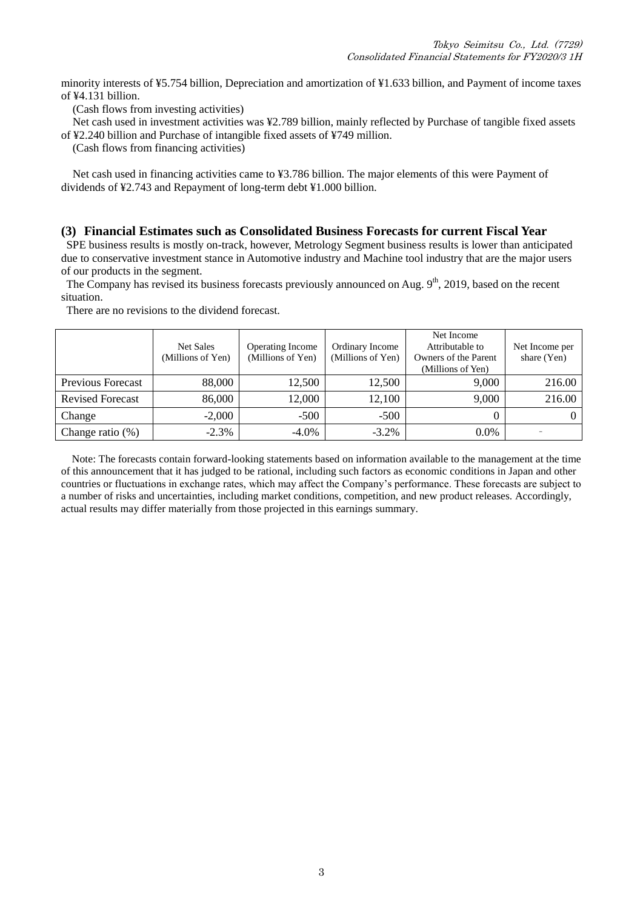minority interests of ¥5.754 billion, Depreciation and amortization of ¥1.633 billion, and Payment of income taxes of ¥4.131 billion.

(Cash flows from investing activities)

Net cash used in investment activities was ¥2.789 billion, mainly reflected by Purchase of tangible fixed assets of ¥2.240 billion and Purchase of intangible fixed assets of ¥749 million.

(Cash flows from financing activities)

Net cash used in financing activities came to ¥3.786 billion. The major elements of this were Payment of dividends of ¥2.743 and Repayment of long-term debt ¥1.000 billion.

## **(3) Financial Estimates such as Consolidated Business Forecasts for current Fiscal Year**

SPE business results is mostly on-track, however, Metrology Segment business results is lower than anticipated due to conservative investment stance in Automotive industry and Machine tool industry that are the major users of our products in the segment.

The Company has revised its business forecasts previously announced on Aug. 9<sup>th</sup>, 2019, based on the recent situation.

|                          | Net Sales<br>(Millions of Yen) | <b>Operating Income</b><br>(Millions of Yen) | Ordinary Income<br>(Millions of Yen) | Net Income<br>Attributable to<br>Owners of the Parent<br>(Millions of Yen) | Net Income per<br>share (Yen) |
|--------------------------|--------------------------------|----------------------------------------------|--------------------------------------|----------------------------------------------------------------------------|-------------------------------|
| <b>Previous Forecast</b> | 88,000                         | 12,500                                       | 12,500                               | 9.000                                                                      | 216.00                        |
| <b>Revised Forecast</b>  | 86,000                         | 12,000                                       | 12,100                               | 9,000                                                                      | 216.00                        |
| Change                   | $-2,000$                       | $-500$                                       | $-500$                               |                                                                            |                               |
| Change ratio $(\%)$      | $-2.3\%$                       | $-4.0\%$                                     | $-3.2\%$                             | $0.0\%$                                                                    |                               |

There are no revisions to the dividend forecast.

Note: The forecasts contain forward-looking statements based on information available to the management at the time of this announcement that it has judged to be rational, including such factors as economic conditions in Japan and other countries or fluctuations in exchange rates, which may affect the Company's performance. These forecasts are subject to a number of risks and uncertainties, including market conditions, competition, and new product releases. Accordingly, actual results may differ materially from those projected in this earnings summary.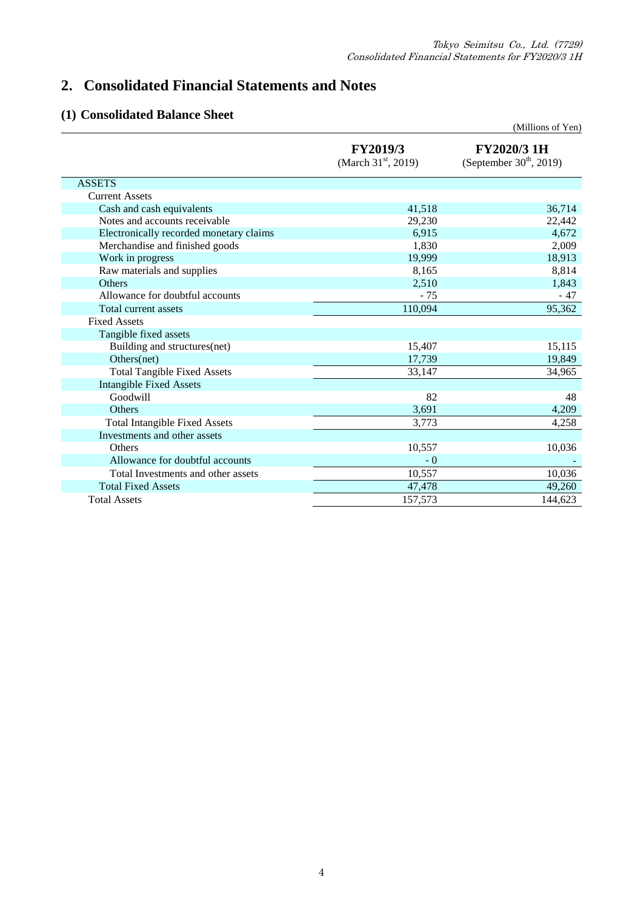# **2. Consolidated Financial Statements and Notes**

## **(1) Consolidated Balance Sheet**

|                                         |                                          | (Millions of Yen)                               |
|-----------------------------------------|------------------------------------------|-------------------------------------------------|
|                                         | <b>FY2019/3</b><br>(March $31st$ , 2019) | <b>FY2020/3 1H</b><br>(September $30th$ , 2019) |
| <b>ASSETS</b>                           |                                          |                                                 |
| <b>Current Assets</b>                   |                                          |                                                 |
| Cash and cash equivalents               | 41,518                                   | 36,714                                          |
| Notes and accounts receivable           | 29,230                                   | 22,442                                          |
| Electronically recorded monetary claims | 6,915                                    | 4,672                                           |
| Merchandise and finished goods          | 1,830                                    | 2,009                                           |
| Work in progress                        | 19,999                                   | 18,913                                          |
| Raw materials and supplies              | 8,165                                    | 8,814                                           |
| Others                                  | 2,510                                    | 1,843                                           |
| Allowance for doubtful accounts         | $-75$                                    | $-47$                                           |
| Total current assets                    | 110,094                                  | 95,362                                          |
| <b>Fixed Assets</b>                     |                                          |                                                 |
| Tangible fixed assets                   |                                          |                                                 |
| Building and structures(net)            | 15,407                                   | 15,115                                          |
| Others(net)                             | 17,739                                   | 19,849                                          |
| <b>Total Tangible Fixed Assets</b>      | 33,147                                   | 34,965                                          |
| <b>Intangible Fixed Assets</b>          |                                          |                                                 |
| Goodwill                                | 82                                       | 48                                              |
| Others                                  | 3,691                                    | 4,209                                           |
| <b>Total Intangible Fixed Assets</b>    | 3,773                                    | 4,258                                           |
| Investments and other assets            |                                          |                                                 |
| Others                                  | 10,557                                   | 10,036                                          |
| Allowance for doubtful accounts         | $-0$                                     |                                                 |
| Total Investments and other assets      | 10,557                                   | 10,036                                          |
| <b>Total Fixed Assets</b>               | 47,478                                   | 49,260                                          |
| <b>Total Assets</b>                     | 157,573                                  | 144,623                                         |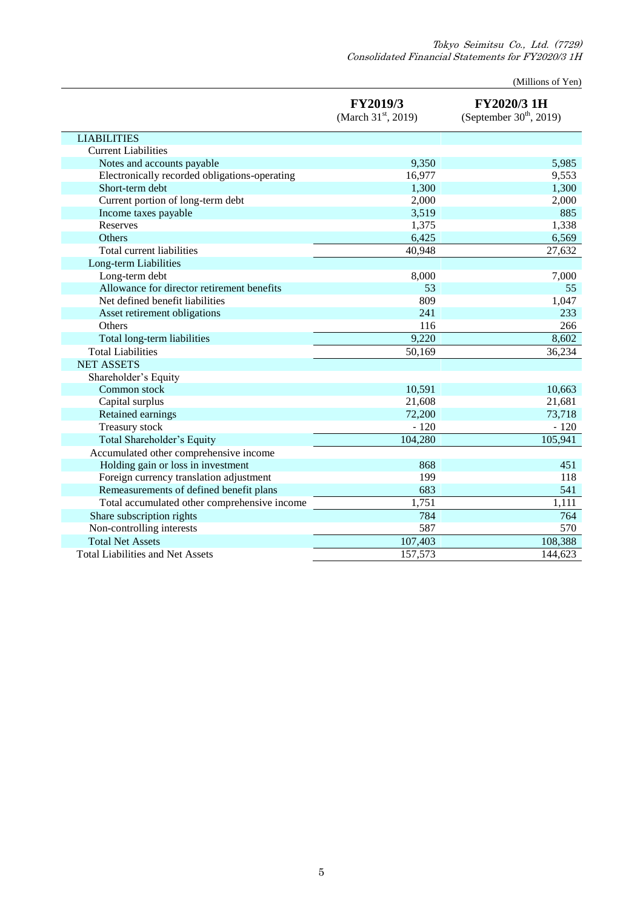Tokyo Seimitsu Co., Ltd. (7729) Consolidated Financial Statements for FY2020/3 1H

(Millions of Yen)

|                                               | <b>FY2019/3</b><br>(March 31 <sup>st</sup> , 2019) | FY2020/3 1H<br>(September 30 <sup>th</sup> , 2019) |
|-----------------------------------------------|----------------------------------------------------|----------------------------------------------------|
| <b>LIABILITIES</b>                            |                                                    |                                                    |
| <b>Current Liabilities</b>                    |                                                    |                                                    |
| Notes and accounts payable                    | 9,350                                              | 5,985                                              |
| Electronically recorded obligations-operating | 16,977                                             | 9,553                                              |
| Short-term debt                               | 1,300                                              | 1,300                                              |
| Current portion of long-term debt             | 2,000                                              | 2,000                                              |
| Income taxes payable                          | 3,519                                              | 885                                                |
| Reserves                                      | 1,375                                              | 1,338                                              |
| <b>Others</b>                                 | 6,425                                              | 6,569                                              |
| Total current liabilities                     | 40,948                                             | 27,632                                             |
| Long-term Liabilities                         |                                                    |                                                    |
| Long-term debt                                | 8,000                                              | 7,000                                              |
| Allowance for director retirement benefits    | 53                                                 | 55                                                 |
| Net defined benefit liabilities               | 809                                                | 1,047                                              |
| Asset retirement obligations                  | 241                                                | 233                                                |
| Others                                        | 116                                                | 266                                                |
| Total long-term liabilities                   | 9,220                                              | 8,602                                              |
| <b>Total Liabilities</b>                      | 50,169                                             | 36,234                                             |
| <b>NET ASSETS</b>                             |                                                    |                                                    |
| Shareholder's Equity                          |                                                    |                                                    |
| Common stock                                  | 10,591                                             | 10,663                                             |
| Capital surplus                               | 21,608                                             | 21,681                                             |
| Retained earnings                             | 72,200                                             | 73,718                                             |
| Treasury stock                                | $-120$                                             | $-120$                                             |
| Total Shareholder's Equity                    | 104,280                                            | 105,941                                            |
| Accumulated other comprehensive income        |                                                    |                                                    |
| Holding gain or loss in investment            | 868                                                | 451                                                |
| Foreign currency translation adjustment       | 199                                                | 118                                                |
| Remeasurements of defined benefit plans       | 683                                                | 541                                                |
| Total accumulated other comprehensive income  | 1,751                                              | 1,111                                              |
| Share subscription rights                     | 784                                                | 764                                                |
| Non-controlling interests                     | 587                                                | 570                                                |
| <b>Total Net Assets</b>                       | 107,403                                            | 108,388                                            |
| <b>Total Liabilities and Net Assets</b>       | 157,573                                            | 144,623                                            |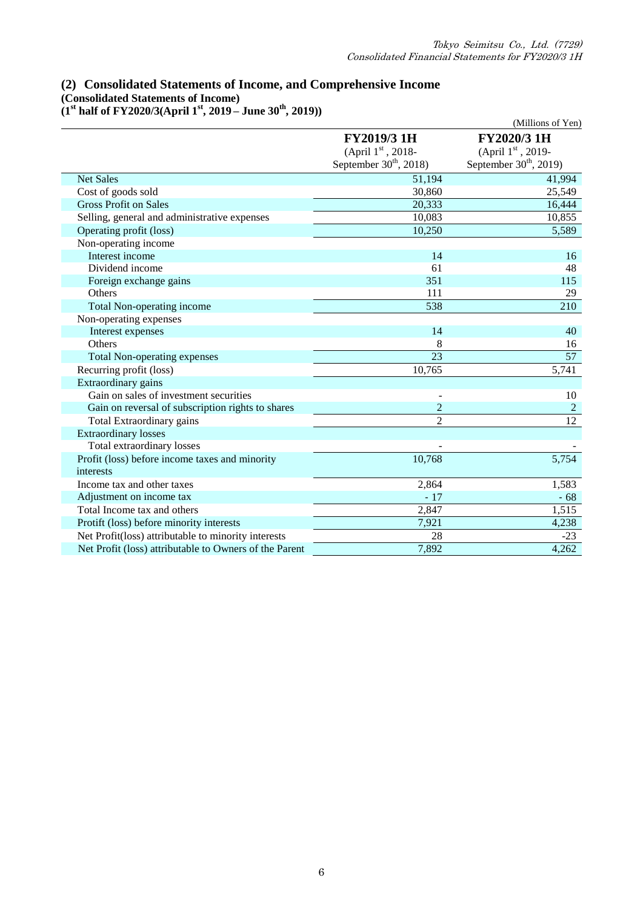## **(2) Consolidated Statements of Income, and Comprehensive Income (Consolidated Statements of Income)**

**(1st half of FY2020/3(April 1 st, 2019 – June 30th, 2019))** 

|                                                        |                          | (Millions of Yen)           |
|--------------------------------------------------------|--------------------------|-----------------------------|
|                                                        | <b>FY2019/3 1H</b>       | FY2020/3 1H                 |
|                                                        | (April 1st , 2018-       | (April $1^{\rm st}$ , 2019- |
|                                                        | September $30th$ , 2018) | September $30th$ , 2019)    |
| <b>Net Sales</b>                                       | 51,194                   | 41,994                      |
| Cost of goods sold                                     | 30,860                   | 25,549                      |
| <b>Gross Profit on Sales</b>                           | 20,333                   | 16,444                      |
| Selling, general and administrative expenses           | 10,083                   | 10,855                      |
| Operating profit (loss)                                | 10,250                   | 5,589                       |
| Non-operating income                                   |                          |                             |
| Interest income                                        | 14                       | 16                          |
| Dividend income                                        | 61                       | 48                          |
| Foreign exchange gains                                 | 351                      | 115                         |
| Others                                                 | 111                      | 29                          |
| Total Non-operating income                             | 538                      | $\overline{210}$            |
| Non-operating expenses                                 |                          |                             |
| Interest expenses                                      | 14                       | 40                          |
| Others                                                 | 8                        | 16                          |
| <b>Total Non-operating expenses</b>                    | 23                       | 57                          |
| Recurring profit (loss)                                | 10,765                   | 5,741                       |
| Extraordinary gains                                    |                          |                             |
| Gain on sales of investment securities                 |                          | 10                          |
| Gain on reversal of subscription rights to shares      | $\overline{2}$           | 2                           |
| Total Extraordinary gains                              | $\overline{2}$           | 12                          |
| <b>Extraordinary losses</b>                            |                          |                             |
| Total extraordinary losses                             | ÷.                       |                             |
| Profit (loss) before income taxes and minority         | 10,768                   | 5,754                       |
| interests                                              |                          |                             |
| Income tax and other taxes                             | 2,864                    | 1,583                       |
| Adjustment on income tax                               | $-17$                    | $-68$                       |
| Total Income tax and others                            | 2,847                    | 1,515                       |
| Protift (loss) before minority interests               | 7,921                    | 4,238                       |
| Net Profit(loss) attributable to minority interests    | 28                       | $-23$                       |
| Net Profit (loss) attributable to Owners of the Parent | 7,892                    | 4,262                       |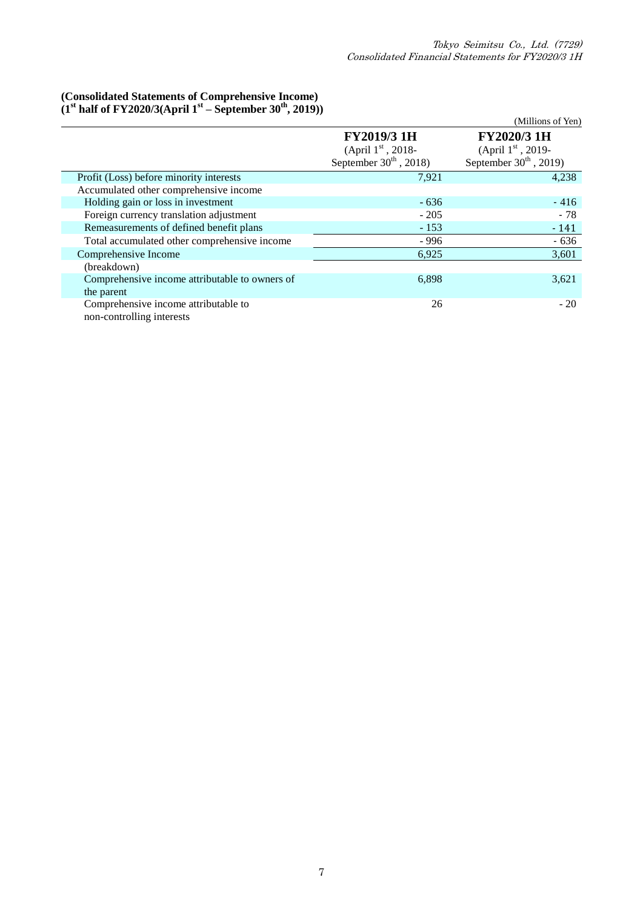### **(Consolidated Statements of Comprehensive Income) (1st half of FY2020/3(April 1st – September 30th, 2019))**

|                                                |                             | (Millions of Yen)        |
|------------------------------------------------|-----------------------------|--------------------------|
|                                                | <b>FY2019/3 1H</b>          | <b>FY2020/3 1H</b>       |
|                                                | (April $1^{\rm st}$ , 2018- | (April $1st$ , 2019-     |
|                                                | September $30th$ , 2018)    | September $30th$ , 2019) |
| Profit (Loss) before minority interests        | 7,921                       | 4,238                    |
| Accumulated other comprehensive income         |                             |                          |
| Holding gain or loss in investment             | $-636$                      | $-416$                   |
| Foreign currency translation adjustment        | $-205$                      | $-78$                    |
| Remeasurements of defined benefit plans        | $-153$                      | $-141$                   |
| Total accumulated other comprehensive income   | $-996$                      | - 636                    |
| Comprehensive Income                           | 6,925                       | 3,601                    |
| (breakdown)                                    |                             |                          |
| Comprehensive income attributable to owners of | 6,898                       | 3,621                    |
| the parent                                     |                             |                          |
| Comprehensive income attributable to           | 26                          | $-20$                    |
| non-controlling interests                      |                             |                          |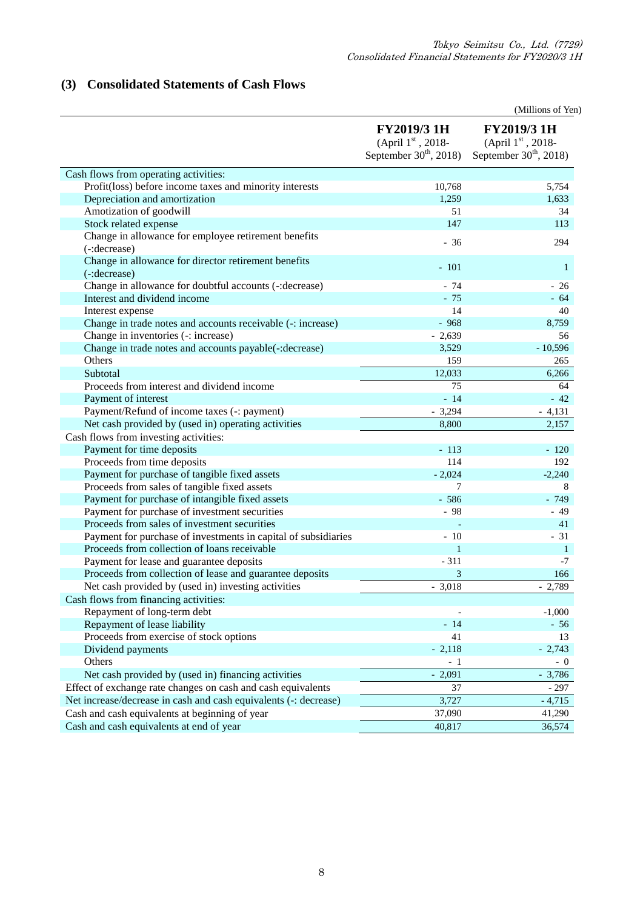# **(3) Consolidated Statements of Cash Flows**

|                                                                      |                                                                     | (Millions of Yen)                                                   |
|----------------------------------------------------------------------|---------------------------------------------------------------------|---------------------------------------------------------------------|
|                                                                      | <b>FY2019/3 1H</b><br>(April 1st, 2018-<br>September $30th$ , 2018) | <b>FY2019/3 1H</b><br>(April 1st, 2018-<br>September $30th$ , 2018) |
| Cash flows from operating activities:                                |                                                                     |                                                                     |
| Profit(loss) before income taxes and minority interests              | 10,768                                                              | 5,754                                                               |
| Depreciation and amortization                                        | 1,259                                                               | 1,633                                                               |
| Amotization of goodwill                                              | 51                                                                  | 34                                                                  |
| Stock related expense                                                | 147                                                                 | 113                                                                 |
| Change in allowance for employee retirement benefits<br>(-:decrease) | $-36$                                                               | 294                                                                 |
| Change in allowance for director retirement benefits<br>(-:decrease) | $-101$                                                              | $\mathbf{1}$                                                        |
| Change in allowance for doubtful accounts (-: decrease)              | $-74$                                                               | - 26                                                                |
| Interest and dividend income                                         | $-75$                                                               | - 64                                                                |
| Interest expense                                                     | 14                                                                  | 40                                                                  |
| Change in trade notes and accounts receivable (-: increase)          | $-968$                                                              | 8.759                                                               |
| Change in inventories (-: increase)                                  | $-2,639$                                                            | 56                                                                  |
| Change in trade notes and accounts payable(-: decrease)              | 3,529                                                               | $-10,596$                                                           |
| Others                                                               | 159                                                                 | 265                                                                 |
| Subtotal                                                             | 12,033                                                              | 6,266                                                               |
| Proceeds from interest and dividend income                           | 75                                                                  | 64                                                                  |
| Payment of interest                                                  | $-14$                                                               | $-42$                                                               |
| Payment/Refund of income taxes (-: payment)                          | $-3,294$                                                            | $-4,131$                                                            |
| Net cash provided by (used in) operating activities                  | 8,800                                                               | 2,157                                                               |
| Cash flows from investing activities:                                |                                                                     |                                                                     |
| Payment for time deposits                                            | $-113$                                                              | $-120$                                                              |
| Proceeds from time deposits                                          | 114                                                                 | 192                                                                 |
| Payment for purchase of tangible fixed assets                        | $-2,024$                                                            | $-2,240$                                                            |
| Proceeds from sales of tangible fixed assets                         | 7                                                                   | 8                                                                   |
| Payment for purchase of intangible fixed assets                      | $-586$                                                              | $-749$                                                              |
| Payment for purchase of investment securities                        | $-98$                                                               | $-49$                                                               |
| Proceeds from sales of investment securities                         | $\overline{a}$                                                      | 41                                                                  |
| Payment for purchase of investments in capital of subsidiaries       | $-10$                                                               | $-31$                                                               |
| Proceeds from collection of loans receivable                         | $\mathbf{1}$                                                        | $\mathbf{1}$                                                        |
| Payment for lease and guarantee deposits                             | $-311$                                                              | $-7$                                                                |
| Proceeds from collection of lease and guarantee deposits             | 3                                                                   | 166                                                                 |
| Net cash provided by (used in) investing activities                  | $-3,018$                                                            | $-2,789$                                                            |
| Cash flows from financing activities:                                |                                                                     |                                                                     |
| Repayment of long-term debt                                          |                                                                     | $-1,000$                                                            |
| Repayment of lease liability                                         | $-14$                                                               | $-56$                                                               |
| Proceeds from exercise of stock options                              | 41                                                                  | 13                                                                  |
| Dividend payments                                                    | $-2,118$                                                            | $-2,743$                                                            |
| Others                                                               | $-1$                                                                | $-0$                                                                |
| Net cash provided by (used in) financing activities                  | $-2,091$                                                            | $-3,786$                                                            |
| Effect of exchange rate changes on cash and cash equivalents         | 37                                                                  | $-297$                                                              |
| Net increase/decrease in cash and cash equivalents (-: decrease)     | 3,727                                                               | $-4,715$                                                            |
| Cash and cash equivalents at beginning of year                       | 37,090                                                              | 41,290                                                              |
| Cash and cash equivalents at end of year                             | 40,817                                                              | 36,574                                                              |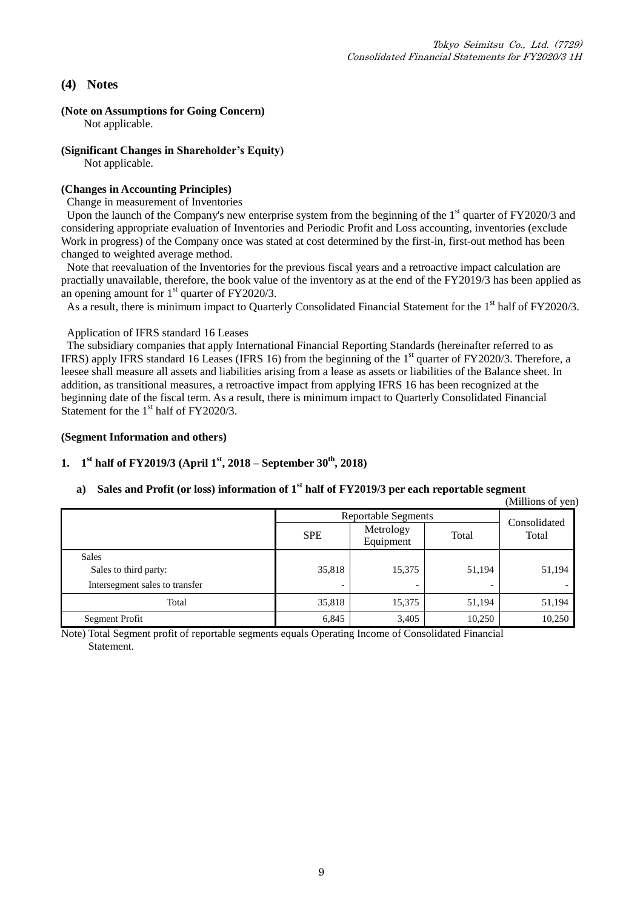## **(4) Notes**

**(Note on Assumptions for Going Concern)**

Not applicable.

## **(Significant Changes in Shareholder's Equity)**

Not applicable.

## **(Changes in Accounting Principles)**

Change in measurement of Inventories

Upon the launch of the Company's new enterprise system from the beginning of the  $1<sup>st</sup>$  quarter of FY2020/3 and considering appropriate evaluation of Inventories and Periodic Profit and Loss accounting, inventories (exclude Work in progress) of the Company once was stated at cost determined by the first-in, first-out method has been changed to weighted average method.

Note that reevaluation of the Inventories for the previous fiscal years and a retroactive impact calculation are practially unavailable, therefore, the book value of the inventory as at the end of the FY2019/3 has been applied as an opening amount for  $1<sup>st</sup>$  quarter of FY2020/3.

As a result, there is minimum impact to Quarterly Consolidated Financial Statement for the 1<sup>st</sup> half of FY2020/3.

Application of IFRS standard 16 Leases

The subsidiary companies that apply International Financial Reporting Standards (hereinafter referred to as IFRS) apply IFRS standard 16 Leases (IFRS 16) from the beginning of the 1<sup>st</sup> quarter of FY2020/3. Therefore, a leesee shall measure all assets and liabilities arising from a lease as assets or liabilities of the Balance sheet. In addition, as transitional measures, a retroactive impact from applying IFRS 16 has been recognized at the beginning date of the fiscal term. As a result, there is minimum impact to Quarterly Consolidated Financial Statement for the 1<sup>st</sup> half of FY2020/3.

## **(Segment Information and others)**

## **1. 1 st half of FY2019/3 (April 1 st, 2018 – September 30th, 2018)**

## a) Sales and Profit (or loss) information of 1<sup>st</sup> half of FY2019/3 per each reportable segment

|                                |                            |                        |                          | (Millions of yen)     |
|--------------------------------|----------------------------|------------------------|--------------------------|-----------------------|
|                                | <b>Reportable Segments</b> |                        |                          |                       |
|                                | <b>SPE</b>                 | Metrology<br>Equipment | Total                    | Consolidated<br>Total |
| <b>Sales</b>                   |                            |                        |                          |                       |
| Sales to third party:          | 35,818                     | 15,375                 | 51,194                   | 51,194                |
| Intersegment sales to transfer | $\overline{\phantom{a}}$   | -                      | $\overline{\phantom{a}}$ |                       |
| Total                          | 35,818                     | 15,375                 | 51,194                   | 51,194                |
| Segment Profit                 | 6,845                      | 3,405                  | 10,250                   | 10,250                |

Note) Total Segment profit of reportable segments equals Operating Income of Consolidated Financial **Statement**